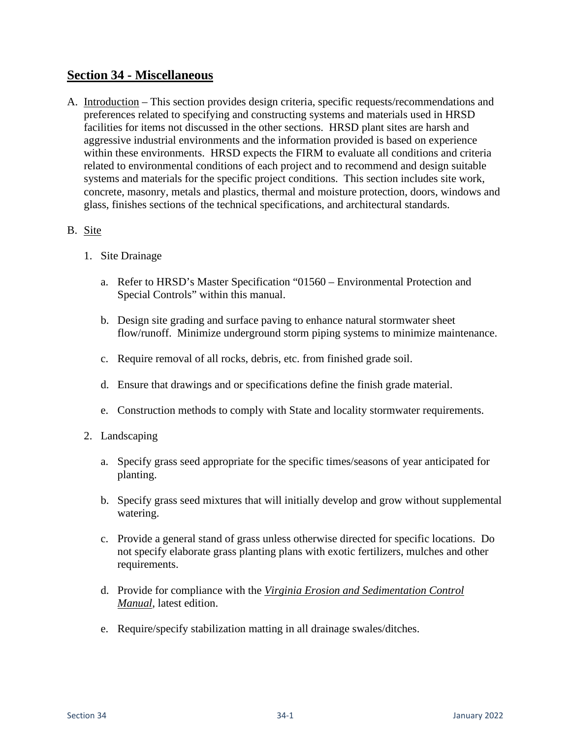# **Section 34 - Miscellaneous**

A. Introduction – This section provides design criteria, specific requests/recommendations and preferences related to specifying and constructing systems and materials used in HRSD facilities for items not discussed in the other sections. HRSD plant sites are harsh and aggressive industrial environments and the information provided is based on experience within these environments. HRSD expects the FIRM to evaluate all conditions and criteria related to environmental conditions of each project and to recommend and design suitable systems and materials for the specific project conditions. This section includes site work, concrete, masonry, metals and plastics, thermal and moisture protection, doors, windows and glass, finishes sections of the technical specifications, and architectural standards.

### B. Site

- 1. Site Drainage
	- a. Refer to HRSD's Master Specification "01560 Environmental Protection and Special Controls" within this manual.
	- b. Design site grading and surface paving to enhance natural stormwater sheet flow/runoff. Minimize underground storm piping systems to minimize maintenance.
	- c. Require removal of all rocks, debris, etc. from finished grade soil.
	- d. Ensure that drawings and or specifications define the finish grade material.
	- e. Construction methods to comply with State and locality stormwater requirements.
- 2. Landscaping
	- a. Specify grass seed appropriate for the specific times/seasons of year anticipated for planting.
	- b. Specify grass seed mixtures that will initially develop and grow without supplemental watering.
	- c. Provide a general stand of grass unless otherwise directed for specific locations. Do not specify elaborate grass planting plans with exotic fertilizers, mulches and other requirements.
	- d. Provide for compliance with the *Virginia Erosion and Sedimentation Control Manual*, latest edition.
	- e. Require/specify stabilization matting in all drainage swales/ditches.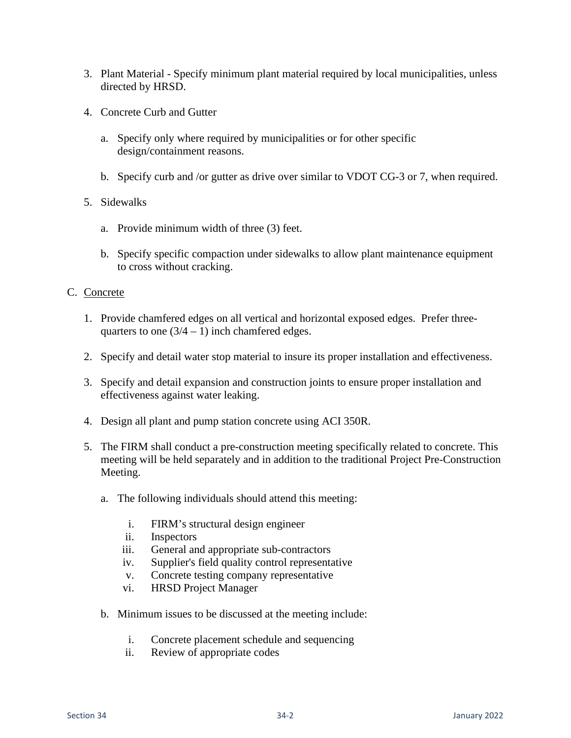- 3. Plant Material Specify minimum plant material required by local municipalities, unless directed by HRSD.
- 4. Concrete Curb and Gutter
	- a. Specify only where required by municipalities or for other specific design/containment reasons.
	- b. Specify curb and /or gutter as drive over similar to VDOT CG-3 or 7, when required.
- 5. Sidewalks
	- a. Provide minimum width of three (3) feet.
	- b. Specify specific compaction under sidewalks to allow plant maintenance equipment to cross without cracking.

#### C. Concrete

- 1. Provide chamfered edges on all vertical and horizontal exposed edges. Prefer threequarters to one  $(3/4 - 1)$  inch chamfered edges.
- 2. Specify and detail water stop material to insure its proper installation and effectiveness.
- 3. Specify and detail expansion and construction joints to ensure proper installation and effectiveness against water leaking.
- 4. Design all plant and pump station concrete using ACI 350R.
- 5. The FIRM shall conduct a pre-construction meeting specifically related to concrete. This meeting will be held separately and in addition to the traditional Project Pre-Construction Meeting.
	- a. The following individuals should attend this meeting:
		- i. FIRM's structural design engineer
		- ii. Inspectors
		- iii. General and appropriate sub-contractors
		- iv. Supplier's field quality control representative
		- v. Concrete testing company representative
		- vi. HRSD Project Manager
	- b. Minimum issues to be discussed at the meeting include:
		- i. Concrete placement schedule and sequencing
		- ii. Review of appropriate codes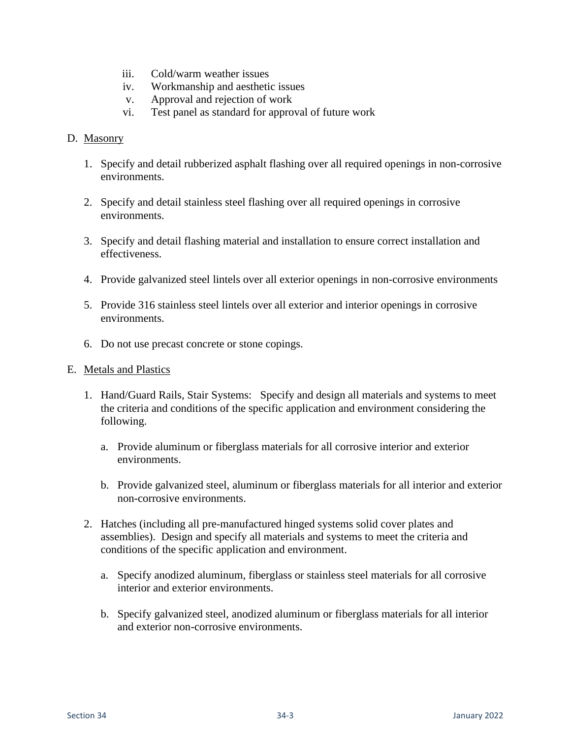- iii. Cold/warm weather issues
- iv. Workmanship and aesthetic issues
- v. Approval and rejection of work
- vi. Test panel as standard for approval of future work

#### D. Masonry

- 1. Specify and detail rubberized asphalt flashing over all required openings in non-corrosive environments.
- 2. Specify and detail stainless steel flashing over all required openings in corrosive environments.
- 3. Specify and detail flashing material and installation to ensure correct installation and effectiveness.
- 4. Provide galvanized steel lintels over all exterior openings in non-corrosive environments
- 5. Provide 316 stainless steel lintels over all exterior and interior openings in corrosive environments.
- 6. Do not use precast concrete or stone copings.

#### E. Metals and Plastics

- 1. Hand/Guard Rails, Stair Systems: Specify and design all materials and systems to meet the criteria and conditions of the specific application and environment considering the following.
	- a. Provide aluminum or fiberglass materials for all corrosive interior and exterior environments.
	- b. Provide galvanized steel, aluminum or fiberglass materials for all interior and exterior non-corrosive environments.
- 2. Hatches (including all pre-manufactured hinged systems solid cover plates and assemblies). Design and specify all materials and systems to meet the criteria and conditions of the specific application and environment.
	- a. Specify anodized aluminum, fiberglass or stainless steel materials for all corrosive interior and exterior environments.
	- b. Specify galvanized steel, anodized aluminum or fiberglass materials for all interior and exterior non-corrosive environments.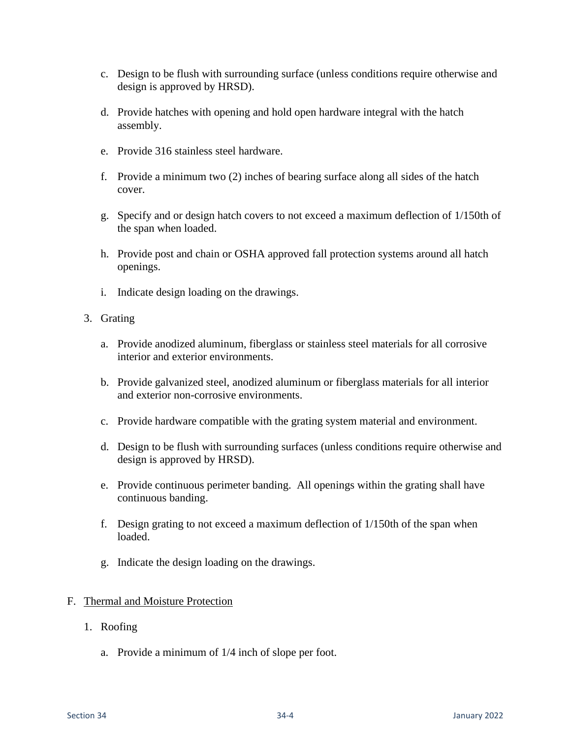- c. Design to be flush with surrounding surface (unless conditions require otherwise and design is approved by HRSD).
- d. Provide hatches with opening and hold open hardware integral with the hatch assembly.
- e. Provide 316 stainless steel hardware.
- f. Provide a minimum two (2) inches of bearing surface along all sides of the hatch cover.
- g. Specify and or design hatch covers to not exceed a maximum deflection of 1/150th of the span when loaded.
- h. Provide post and chain or OSHA approved fall protection systems around all hatch openings.
- i. Indicate design loading on the drawings.
- 3. Grating
	- a. Provide anodized aluminum, fiberglass or stainless steel materials for all corrosive interior and exterior environments.
	- b. Provide galvanized steel, anodized aluminum or fiberglass materials for all interior and exterior non-corrosive environments.
	- c. Provide hardware compatible with the grating system material and environment.
	- d. Design to be flush with surrounding surfaces (unless conditions require otherwise and design is approved by HRSD).
	- e. Provide continuous perimeter banding. All openings within the grating shall have continuous banding.
	- f. Design grating to not exceed a maximum deflection of 1/150th of the span when loaded.
	- g. Indicate the design loading on the drawings.

#### F. Thermal and Moisture Protection

- 1. Roofing
	- a. Provide a minimum of 1/4 inch of slope per foot.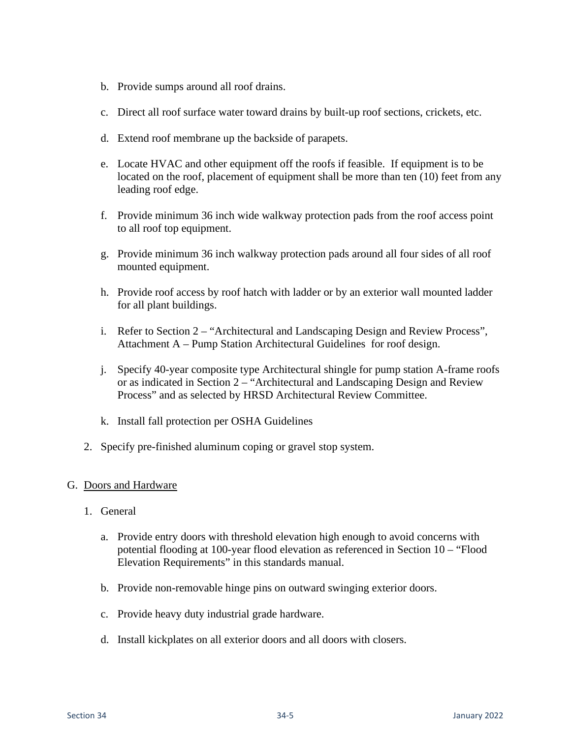- b. Provide sumps around all roof drains.
- c. Direct all roof surface water toward drains by built-up roof sections, crickets, etc.
- d. Extend roof membrane up the backside of parapets.
- e. Locate HVAC and other equipment off the roofs if feasible. If equipment is to be located on the roof, placement of equipment shall be more than ten (10) feet from any leading roof edge.
- f. Provide minimum 36 inch wide walkway protection pads from the roof access point to all roof top equipment.
- g. Provide minimum 36 inch walkway protection pads around all four sides of all roof mounted equipment.
- h. Provide roof access by roof hatch with ladder or by an exterior wall mounted ladder for all plant buildings.
- i. Refer to Section 2 "Architectural and Landscaping Design and Review Process", Attachment A – Pump Station Architectural Guidelines for roof design.
- j. Specify 40-year composite type Architectural shingle for pump station A-frame roofs or as indicated in Section 2 – "Architectural and Landscaping Design and Review Process" and as selected by HRSD Architectural Review Committee.
- k. Install fall protection per OSHA Guidelines
- 2. Specify pre-finished aluminum coping or gravel stop system.

#### G. Doors and Hardware

- 1. General
	- a. Provide entry doors with threshold elevation high enough to avoid concerns with potential flooding at 100-year flood elevation as referenced in Section 10 – "Flood Elevation Requirements" in this standards manual.
	- b. Provide non-removable hinge pins on outward swinging exterior doors.
	- c. Provide heavy duty industrial grade hardware.
	- d. Install kickplates on all exterior doors and all doors with closers.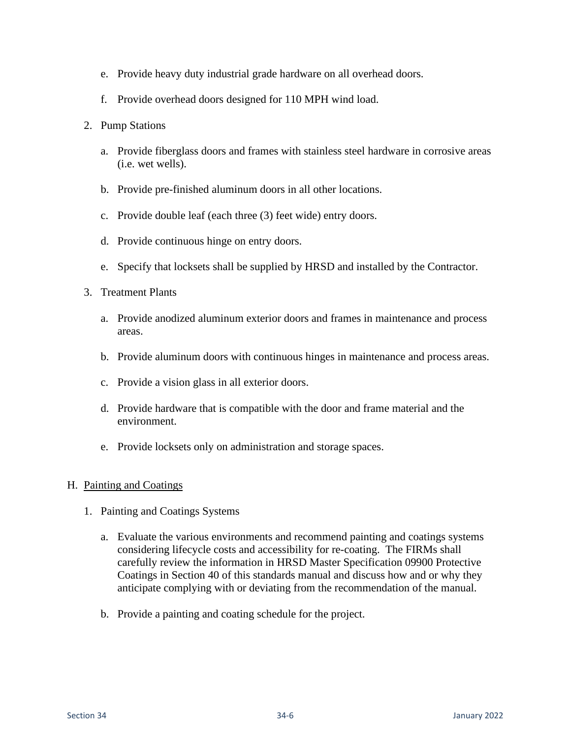- e. Provide heavy duty industrial grade hardware on all overhead doors.
- f. Provide overhead doors designed for 110 MPH wind load.
- 2. Pump Stations
	- a. Provide fiberglass doors and frames with stainless steel hardware in corrosive areas (i.e. wet wells).
	- b. Provide pre-finished aluminum doors in all other locations.
	- c. Provide double leaf (each three (3) feet wide) entry doors.
	- d. Provide continuous hinge on entry doors.
	- e. Specify that locksets shall be supplied by HRSD and installed by the Contractor.
- 3. Treatment Plants
	- a. Provide anodized aluminum exterior doors and frames in maintenance and process areas.
	- b. Provide aluminum doors with continuous hinges in maintenance and process areas.
	- c. Provide a vision glass in all exterior doors.
	- d. Provide hardware that is compatible with the door and frame material and the environment.
	- e. Provide locksets only on administration and storage spaces.

#### H. Painting and Coatings

- 1. Painting and Coatings Systems
	- a. Evaluate the various environments and recommend painting and coatings systems considering lifecycle costs and accessibility for re-coating. The FIRMs shall carefully review the information in HRSD Master Specification 09900 Protective Coatings in Section 40 of this standards manual and discuss how and or why they anticipate complying with or deviating from the recommendation of the manual.
	- b. Provide a painting and coating schedule for the project.